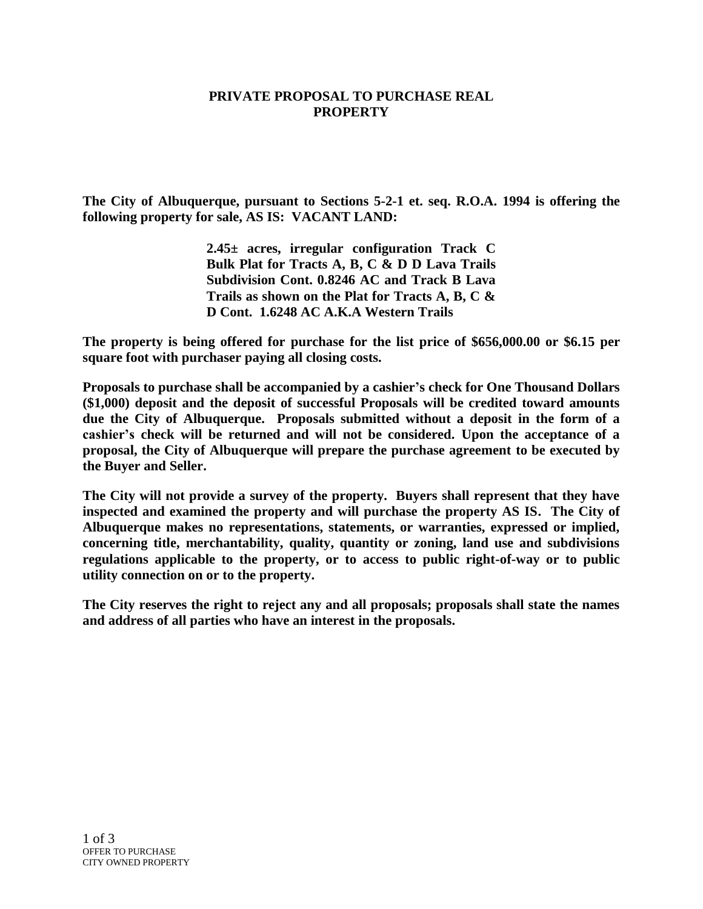## **PRIVATE PROPOSAL TO PURCHASE REAL PROPERTY**

**The City of Albuquerque, pursuant to Sections 5-2-1 et. seq. R.O.A. 1994 is offering the following property for sale, AS IS: VACANT LAND:**

> **2.45± acres, irregular configuration Track C Bulk Plat for Tracts A, B, C & D D Lava Trails Subdivision Cont. 0.8246 AC and Track B Lava Trails as shown on the Plat for Tracts A, B, C & D Cont. 1.6248 AC A.K.A Western Trails**

**The property is being offered for purchase for the list price of \$656,000.00 or \$6.15 per square foot with purchaser paying all closing costs.**

**Proposals to purchase shall be accompanied by a cashier's check for One Thousand Dollars (\$1,000) deposit and the deposit of successful Proposals will be credited toward amounts due the City of Albuquerque. Proposals submitted without a deposit in the form of a cashier's check will be returned and will not be considered. Upon the acceptance of a proposal, the City of Albuquerque will prepare the purchase agreement to be executed by the Buyer and Seller.** 

**The City will not provide a survey of the property. Buyers shall represent that they have inspected and examined the property and will purchase the property AS IS. The City of Albuquerque makes no representations, statements, or warranties, expressed or implied, concerning title, merchantability, quality, quantity or zoning, land use and subdivisions regulations applicable to the property, or to access to public right-of-way or to public utility connection on or to the property.**

**The City reserves the right to reject any and all proposals; proposals shall state the names and address of all parties who have an interest in the proposals.**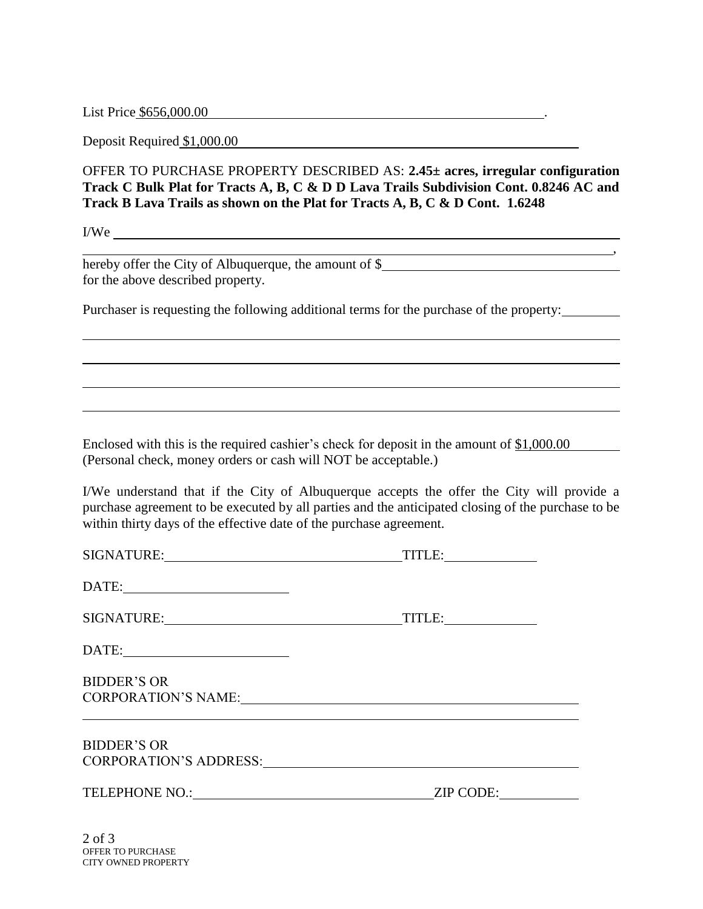List Price \$656,000.00 .

Deposit Required \$1,000.00

OFFER TO PURCHASE PROPERTY DESCRIBED AS: **2.45± acres, irregular configuration Track C Bulk Plat for Tracts A, B, C & D D Lava Trails Subdivision Cont. 0.8246 AC and Track B Lava Trails as shown on the Plat for Tracts A, B, C & D Cont. 1.6248**

,

I/We

hereby offer the City of Albuquerque, the amount of \$ for the above described property.

Purchaser is requesting the following additional terms for the purchase of the property:

Enclosed with this is the required cashier's check for deposit in the amount of \$1,000.00 (Personal check, money orders or cash will NOT be acceptable.)

I/We understand that if the City of Albuquerque accepts the offer the City will provide a purchase agreement to be executed by all parties and the anticipated closing of the purchase to be within thirty days of the effective date of the purchase agreement.

SIGNATURE: TITLE: TITLE: DATE: SIGNATURE: TITLE: DATE: BIDDER'S OR CORPORATION'S NAME: BIDDER'S OR CORPORATION'S ADDRESS: TELEPHONE NO.: ZIP CODE:

2 of 3 OFFER TO PURCHASE CITY OWNED PROPERTY